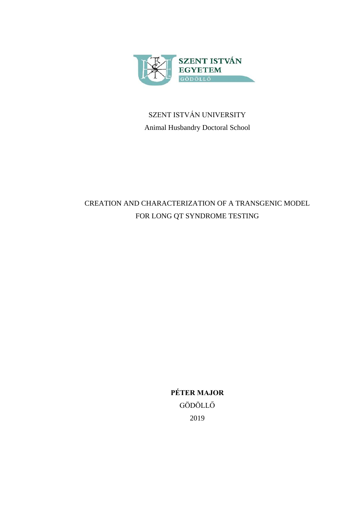

# SZENT ISTVÁN UNIVERSITY Animal Husbandry Doctoral School

# CREATION AND CHARACTERIZATION OF A TRANSGENIC MODEL FOR LONG QT SYNDROME TESTING

**PÉTER MAJOR** GÖDÖLLŐ 2019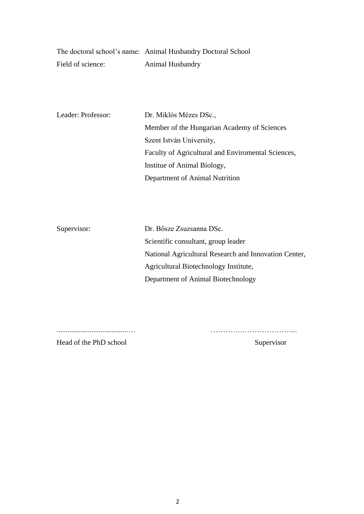|                   | The doctoral school's name: Animal Husbandry Doctoral School |
|-------------------|--------------------------------------------------------------|
| Field of science: | <b>Animal Husbandry</b>                                      |

| Leader: Professor: | Dr. Miklós Mézes DSc.,                             |
|--------------------|----------------------------------------------------|
|                    | Member of the Hungarian Academy of Sciences        |
|                    | Szent István University,                           |
|                    | Faculty of Agricultural and Enviromental Sciences, |
|                    | Institue of Animal Biology,                        |
|                    | Department of Animal Nutrition                     |

| Dr. Bősze Zsuzsanna DSc.                              |
|-------------------------------------------------------|
| Scientific consultant, group leader                   |
| National Agricultural Research and Innovation Center, |
| Agricultural Biotechnology Institute,                 |
| Department of Animal Biotechnology                    |
|                                                       |

.......................................… ……………………………...

Head of the PhD school Supervisor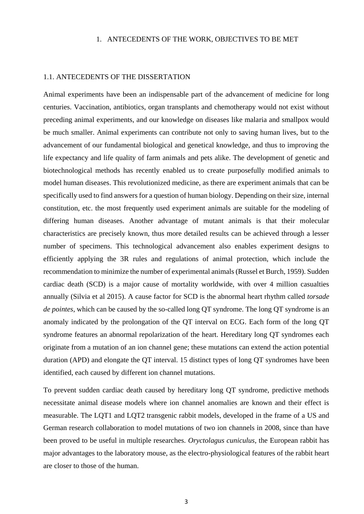#### 1. ANTECEDENTS OF THE WORK, OBJECTIVES TO BE MET

## 1.1. ANTECEDENTS OF THE DISSERTATION

Animal experiments have been an indispensable part of the advancement of medicine for long centuries. Vaccination, antibiotics, organ transplants and chemotherapy would not exist without preceding animal experiments, and our knowledge on diseases like malaria and smallpox would be much smaller. Animal experiments can contribute not only to saving human lives, but to the advancement of our fundamental biological and genetical knowledge, and thus to improving the life expectancy and life quality of farm animals and pets alike. The development of genetic and biotechnological methods has recently enabled us to create purposefully modified animals to model human diseases. This revolutionized medicine, as there are experiment animals that can be specifically used to find answers for a question of human biology. Depending on their size, internal constitution, etc. the most frequently used experiment animals are suitable for the modeling of differing human diseases. Another advantage of mutant animals is that their molecular characteristics are precisely known, thus more detailed results can be achieved through a lesser number of specimens. This technological advancement also enables experiment designs to efficiently applying the 3R rules and regulations of animal protection, which include the recommendation to minimize the number of experimental animals (Russel et Burch, 1959). Sudden cardiac death (SCD) is a major cause of mortality worldwide, with over 4 million casualties annually (Silvia et al 2015). A cause factor for SCD is the abnormal heart rhythm called *torsade de pointes*, which can be caused by the so-called long QT syndrome. The long QT syndrome is an anomaly indicated by the prolongation of the QT interval on ECG. Each form of the long QT syndrome features an abnormal repolarization of the heart. Hereditary long QT syndromes each originate from a mutation of an ion channel gene; these mutations can extend the action potential duration (APD) and elongate the QT interval. 15 distinct types of long QT syndromes have been identified, each caused by different ion channel mutations.

To prevent sudden cardiac death caused by hereditary long QT syndrome, predictive methods necessitate animal disease models where ion channel anomalies are known and their effect is measurable. The LQT1 and LQT2 transgenic rabbit models, developed in the frame of a US and German research collaboration to model mutations of two ion channels in 2008, since than have been proved to be useful in multiple researches. *Oryctolagus cuniculus*, the European rabbit has major advantages to the laboratory mouse, as the electro-physiological features of the rabbit heart are closer to those of the human.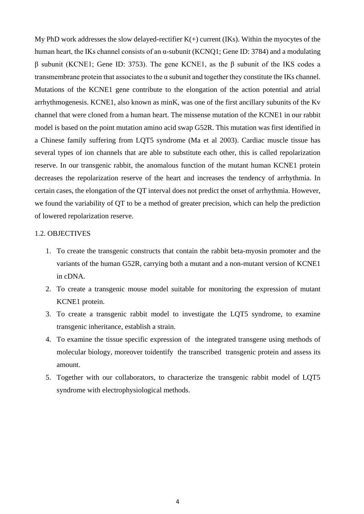My PhD work addresses the slow delayed-rectifier  $K(+)$  current (IKs). Within the myocytes of the human heart, the IKs channel consists of an  $\alpha$ -subunit (KCNO1; Gene ID: 3784) and a modulating β subunit (KCNE1; Gene ID: 3753). The gene KCNE1, as the β subunit of the IKS codes a transmembrane protein that associates to the  $\alpha$  subunit and together they constitute the IKs channel. Mutations of the KCNE1 gene contribute to the elongation of the action potential and atrial arrhythmogenesis. KCNE1, also known as minK, was one of the first ancillary subunits of the Kv channel that were cloned from a human heart. The missense mutation of the KCNE1 in our rabbit model is based on the point mutation amino acid swap G52R. This mutation was first identified in a Chinese family suffering from LQT5 syndrome (Ma et al 2003). Cardiac muscle tissue has several types of ion channels that are able to substitute each other, this is called repolarization reserve. In our transgenic rabbit, the anomalous function of the mutant human KCNE1 protein decreases the repolarization reserve of the heart and increases the tendency of arrhythmia. In certain cases, the elongation of the QT interval does not predict the onset of arrhythmia. However, we found the variability of QT to be a method of greater precision, which can help the prediction of lowered repolarization reserve.

#### 1.2. OBJECTIVES

- 1. To create the transgenic constructs that contain the rabbit beta-myosin promoter and the variants of the human G52R, carrying both a mutant and a non-mutant version of KCNE1 in cDNA.
- 2. To create a transgenic mouse model suitable for monitoring the expression of mutant KCNE1 protein.
- 3. To create a transgenic rabbit model to investigate the LQT5 syndrome, to examine transgenic inheritance, establish a strain.
- 4. To examine the tissue specific expression of the integrated transgene using methods of molecular biology, moreover toidentify the transcribed transgenic protein and assess its amount.
- 5. Together with our collaborators, to characterize the transgenic rabbit model of LQT5 syndrome with electrophysiological methods.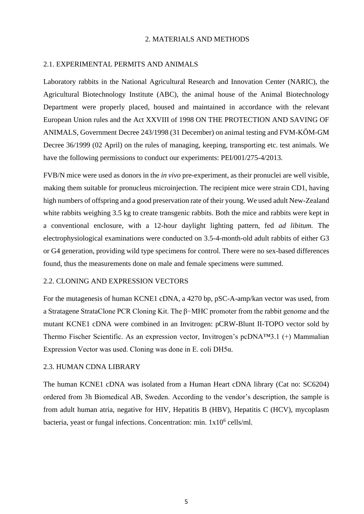#### 2. MATERIALS AND METHODS

## 2.1. EXPERIMENTAL PERMITS AND ANIMALS

Laboratory rabbits in the National Agricultural Research and Innovation Center (NARIC), the Agricultural Biotechnology Institute (ABC), the animal house of the Animal Biotechnology Department were properly placed, housed and maintained in accordance with the relevant European Union rules and the Act XXVIII of 1998 ON THE PROTECTION AND SAVING OF ANIMALS, Government Decree 243/1998 (31 December) on animal testing and FVM-KÖM-GM Decree 36/1999 (02 April) on the rules of managing, keeping, transporting etc. test animals. We have the following permissions to conduct our experiments: PEI/001/275-4/2013.

FVB/N mice were used as donors in the *in vivo* pre-experiment, as their pronuclei are well visible, making them suitable for pronucleus microinjection. The recipient mice were strain CD1, having high numbers of offspring and a good preservation rate of their young. We used adult New-Zealand white rabbits weighing 3.5 kg to create transgenic rabbits. Both the mice and rabbits were kept in a conventional enclosure, with a 12-hour daylight lighting pattern, fed *ad libitum.* The electrophysiological examinations were conducted on 3.5-4-month-old adult rabbits of either G3 or G4 generation, providing wild type specimens for control. There were no sex-based differences found, thus the measurements done on male and female specimens were summed.

## 2.2. CLONING AND EXPRESSION VECTORS

For the mutagenesis of human KCNE1 cDNA, a 4270 bp, pSC-A-amp/kan vector was used, from a Stratagene StrataClone PCR Cloning Kit. The β−MHC promoter from the rabbit genome and the mutant KCNE1 cDNA were combined in an Invitrogen: pCRW-Blunt II-TOPO vector sold by Thermo Fischer Scientific. As an expression vector, Invitrogen's pcDNA™3.1 (+) Mammalian Expression Vector was used. Cloning was done in E. coli DH5α.

#### 2.3. HUMAN CDNA LIBRARY

The human KCNE1 cDNA was isolated from a Human Heart cDNA library (Cat no: SC6204) ordered from 3h Biomedical AB, Sweden. According to the vendor's description, the sample is from adult human atria, negative for HIV, Hepatitis B (HBV), Hepatitis C (HCV), mycoplasm bacteria, yeast or fungal infections. Concentration: min. 1x10<sup>6</sup> cells/ml.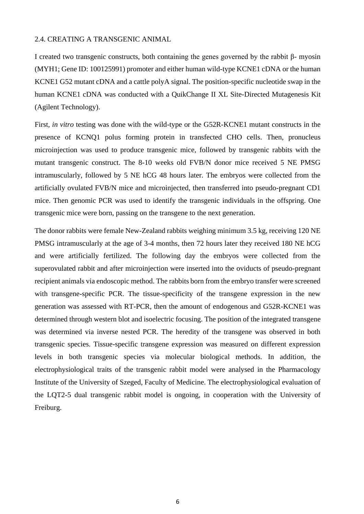#### 2.4. CREATING A TRANSGENIC ANIMAL

I created two transgenic constructs, both containing the genes governed by the rabbit β- myosin (MYH1; Gene ID: 100125991) promoter and either human wild-type KCNE1 cDNA or the human KCNE1 G52 mutant cDNA and a cattle polyA signal. The position-specific nucleotide swap in the human KCNE1 cDNA was conducted with a QuikChange II XL Site-Directed Mutagenesis Kit (Agilent Technology).

First, *in vitro* testing was done with the wild-type or the G52R-KCNE1 mutant constructs in the presence of KCNQ1 polus forming protein in transfected CHO cells. Then, pronucleus microinjection was used to produce transgenic mice, followed by transgenic rabbits with the mutant transgenic construct. The 8-10 weeks old FVB/N donor mice received 5 NE PMSG intramuscularly, followed by 5 NE hCG 48 hours later. The embryos were collected from the artificially ovulated FVB/N mice and microinjected, then transferred into pseudo-pregnant CD1 mice. Then genomic PCR was used to identify the transgenic individuals in the offspring. One transgenic mice were born, passing on the transgene to the next generation.

The donor rabbits were female New-Zealand rabbits weighing minimum 3.5 kg, receiving 120 NE PMSG intramuscularly at the age of 3-4 months, then 72 hours later they received 180 NE hCG and were artificially fertilized. The following day the embryos were collected from the superovulated rabbit and after microinjection were inserted into the oviducts of pseudo-pregnant recipient animals via endoscopic method. The rabbits born from the embryo transfer were screened with transgene-specific PCR. The tissue-specificity of the transgene expression in the new generation was assessed with RT-PCR, then the amount of endogenous and G52R-KCNE1 was determined through western blot and isoelectric focusing. The position of the integrated transgene was determined via inverse nested PCR. The heredity of the transgene was observed in both transgenic species. Tissue-specific transgene expression was measured on different expression levels in both transgenic species via molecular biological methods. In addition, the electrophysiological traits of the transgenic rabbit model were analysed in the Pharmacology Institute of the University of Szeged, Faculty of Medicine. The electrophysiological evaluation of the LQT2-5 dual transgenic rabbit model is ongoing, in cooperation with the University of Freiburg.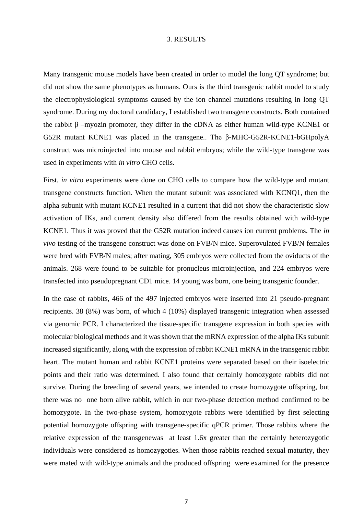#### 3. RESULTS

Many transgenic mouse models have been created in order to model the long QT syndrome; but did not show the same phenotypes as humans. Ours is the third transgenic rabbit model to study the electrophysiological symptoms caused by the ion channel mutations resulting in long QT syndrome. During my doctoral candidacy, I established two transgene constructs. Both contained the rabbit β –myozin promoter, they differ in the cDNA as either human wild-type KCNE1 or G52R mutant KCNE1 was placed in the transgene.. The β-MHC-G52R-KCNE1-bGHpolyA construct was microinjected into mouse and rabbit embryos; while the wild-type transgene was used in experiments with *in vitro* CHO cells.

First, *in vitro* experiments were done on CHO cells to compare how the wild-type and mutant transgene constructs function. When the mutant subunit was associated with KCNQ1, then the alpha subunit with mutant KCNE1 resulted in a current that did not show the characteristic slow activation of IKs, and current density also differed from the results obtained with wild-type KCNE1. Thus it was proved that the G52R mutation indeed causes ion current problems. The *in vivo* testing of the transgene construct was done on FVB/N mice. Superovulated FVB/N females were bred with FVB/N males; after mating, 305 embryos were collected from the oviducts of the animals. 268 were found to be suitable for pronucleus microinjection, and 224 embryos were transfected into pseudopregnant CD1 mice. 14 young was born, one being transgenic founder.

In the case of rabbits, 466 of the 497 injected embryos were inserted into 21 pseudo-pregnant recipients. 38 (8%) was born, of which 4 (10%) displayed transgenic integration when assessed via genomic PCR. I characterized the tissue-specific transgene expression in both species with molecular biological methods and it was shown that the mRNA expression of the alpha IKs subunit increased significantly, along with the expression of rabbit KCNE1 mRNA in the transgenic rabbit heart. The mutant human and rabbit KCNE1 proteins were separated based on their isoelectric points and their ratio was determined. I also found that certainly homozygote rabbits did not survive. During the breeding of several years, we intended to create homozygote offspring, but there was no one born alive rabbit, which in our two-phase detection method confirmed to be homozygote. In the two-phase system, homozygote rabbits were identified by first selecting potential homozygote offspring with transgene-specific qPCR primer. Those rabbits where the relative expression of the transgenewas at least 1.6x greater than the certainly heterozygotic individuals were considered as homozygoties. When those rabbits reached sexual maturity, they were mated with wild-type animals and the produced offspring were examined for the presence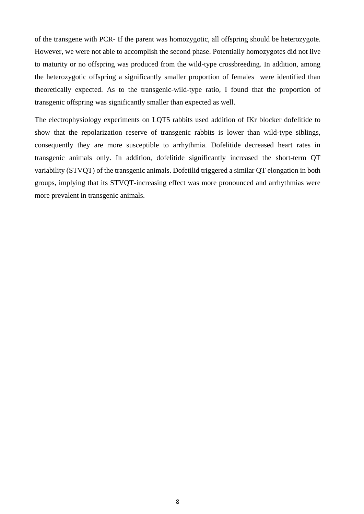of the transgene with PCR- If the parent was homozygotic, all offspring should be heterozygote. However, we were not able to accomplish the second phase. Potentially homozygotes did not live to maturity or no offspring was produced from the wild-type crossbreeding. In addition, among the heterozygotic offspring a significantly smaller proportion of females were identified than theoretically expected. As to the transgenic-wild-type ratio, I found that the proportion of transgenic offspring was significantly smaller than expected as well.

The electrophysiology experiments on LQT5 rabbits used addition of IKr blocker dofelitide to show that the repolarization reserve of transgenic rabbits is lower than wild-type siblings, consequently they are more susceptible to arrhythmia. Dofelitide decreased heart rates in transgenic animals only. In addition, dofelitide significantly increased the short-term QT variability (STVQT) of the transgenic animals. Dofetilid triggered a similar QT elongation in both groups, implying that its STVQT-increasing effect was more pronounced and arrhythmias were more prevalent in transgenic animals.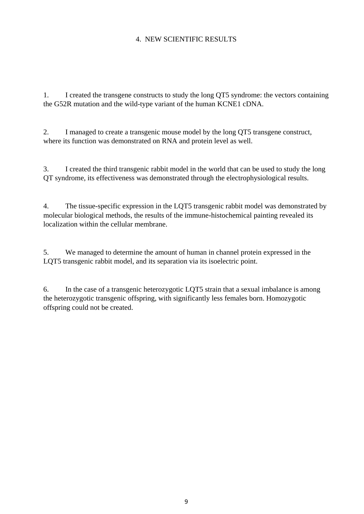# 4. NEW SCIENTIFIC RESULTS

1. I created the transgene constructs to study the long QT5 syndrome: the vectors containing the G52R mutation and the wild-type variant of the human KCNE1 cDNA.

2. I managed to create a transgenic mouse model by the long QT5 transgene construct, where its function was demonstrated on RNA and protein level as well.

3. I created the third transgenic rabbit model in the world that can be used to study the long QT syndrome, its effectiveness was demonstrated through the electrophysiological results.

4. The tissue-specific expression in the LQT5 transgenic rabbit model was demonstrated by molecular biological methods, the results of the immune-histochemical painting revealed its localization within the cellular membrane.

5. We managed to determine the amount of human in channel protein expressed in the LQT5 transgenic rabbit model, and its separation via its isoelectric point.

6. In the case of a transgenic heterozygotic LQT5 strain that a sexual imbalance is among the heterozygotic transgenic offspring, with significantly less females born. Homozygotic offspring could not be created.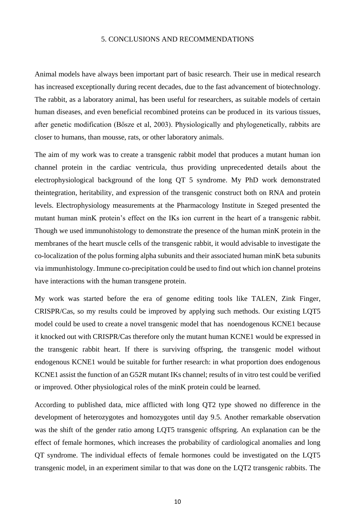#### 5. CONCLUSIONS AND RECOMMENDATIONS

Animal models have always been important part of basic research. Their use in medical research has increased exceptionally during recent decades, due to the fast advancement of biotechnology. The rabbit, as a laboratory animal, has been useful for researchers, as suitable models of certain human diseases, and even beneficial recombined proteins can be produced in its various tissues, after genetic modification (Bősze et al, 2003). Physiologically and phylogenetically, rabbits are closer to humans, than mousse, rats, or other laboratory animals.

The aim of my work was to create a transgenic rabbit model that produces a mutant human ion channel protein in the cardiac ventricula, thus providing unprecedented details about the electrophysiological background of the long QT 5 syndrome. My PhD work demonstrated theintegration, heritability, and expression of the transgenic construct both on RNA and protein levels. Electrophysiology measurements at the Pharmacology Institute in Szeged presented the mutant human minK protein's effect on the IKs ion current in the heart of a transgenic rabbit. Though we used immunohistology to demonstrate the presence of the human minK protein in the membranes of the heart muscle cells of the transgenic rabbit, it would advisable to investigate the co-localization of the polus forming alpha subunits and their associated human minK beta subunits via immunhistology. Immune co-precipitation could be used to find out which ion channel proteins have interactions with the human transgene protein.

My work was started before the era of genome editing tools like TALEN, Zink Finger, CRISPR/Cas, so my results could be improved by applying such methods. Our existing LQT5 model could be used to create a novel transgenic model that has noendogenous KCNE1 because it knocked out with CRISPR/Cas therefore only the mutant human KCNE1 would be expressed in the transgenic rabbit heart. If there is surviving offspring, the transgenic model without endogenous KCNE1 would be suitable for further research: in what proportion does endogenous KCNE1 assist the function of an G52R mutant IKs channel; results of in vitro test could be verified or improved. Other physiological roles of the minK protein could be learned.

According to published data, mice afflicted with long QT2 type showed no difference in the development of heterozygotes and homozygotes until day 9.5. Another remarkable observation was the shift of the gender ratio among LQT5 transgenic offspring. An explanation can be the effect of female hormones, which increases the probability of cardiological anomalies and long QT syndrome. The individual effects of female hormones could be investigated on the LQT5 transgenic model, in an experiment similar to that was done on the LQT2 transgenic rabbits. The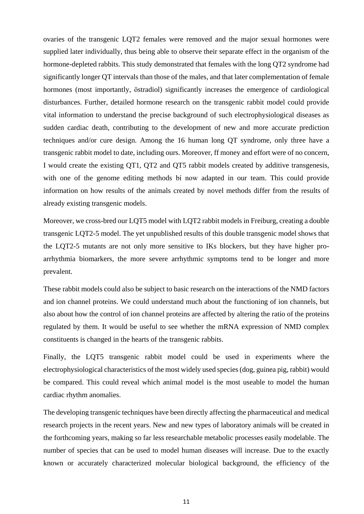ovaries of the transgenic LQT2 females were removed and the major sexual hormones were supplied later individually, thus being able to observe their separate effect in the organism of the hormone-depleted rabbits. This study demonstrated that females with the long QT2 syndrome had significantly longer QT intervals than those of the males, and that later complementation of female hormones (most importantly, östradiol) significantly increases the emergence of cardiological disturbances. Further, detailed hormone research on the transgenic rabbit model could provide vital information to understand the precise background of such electrophysiological diseases as sudden cardiac death, contributing to the development of new and more accurate prediction techniques and/or cure design. Among the 16 human long QT syndrome, only three have a transgenic rabbit model to date, including ours. Moreover, ff money and effort were of no concern, I would create the existing QT1, QT2 and QT5 rabbit models created by additive transgenesis, with one of the genome editing methods bí now adapted in our team. This could provide information on how results of the animals created by novel methods differ from the results of already existing transgenic models.

Moreover, we cross-bred our LQT5 model with LQT2 rabbit models in Freiburg, creating a double transgenic LQT2-5 model. The yet unpublished results of this double transgenic model shows that the LQT2-5 mutants are not only more sensitive to IKs blockers, but they have higher proarrhythmia biomarkers, the more severe arrhythmic symptoms tend to be longer and more prevalent.

These rabbit models could also be subject to basic research on the interactions of the NMD factors and ion channel proteins. We could understand much about the functioning of ion channels, but also about how the control of ion channel proteins are affected by altering the ratio of the proteins regulated by them. It would be useful to see whether the mRNA expression of NMD complex constituents is changed in the hearts of the transgenic rabbits.

Finally, the LQT5 transgenic rabbit model could be used in experiments where the electrophysiological characteristics of the most widely used species (dog, guinea pig, rabbit) would be compared. This could reveal which animal model is the most useable to model the human cardiac rhythm anomalies.

The developing transgenic techniques have been directly affecting the pharmaceutical and medical research projects in the recent years. New and new types of laboratory animals will be created in the forthcoming years, making so far less researchable metabolic processes easily modelable. The number of species that can be used to model human diseases will increase. Due to the exactly known or accurately characterized molecular biological background, the efficiency of the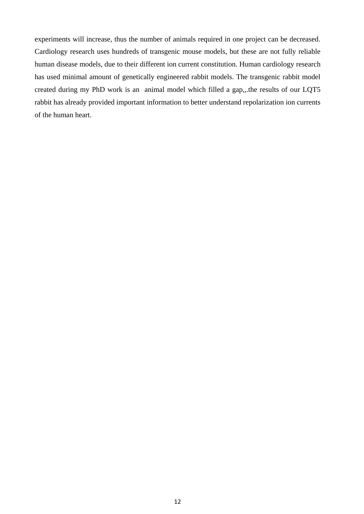experiments will increase, thus the number of animals required in one project can be decreased. Cardiology research uses hundreds of transgenic mouse models, but these are not fully reliable human disease models, due to their different ion current constitution. Human cardiology research has used minimal amount of genetically engineered rabbit models. The transgenic rabbit model created during my PhD work is an animal model which filled a gap,,.the results of our LQT5 rabbit has already provided important information to better understand repolarization ion currents of the human heart.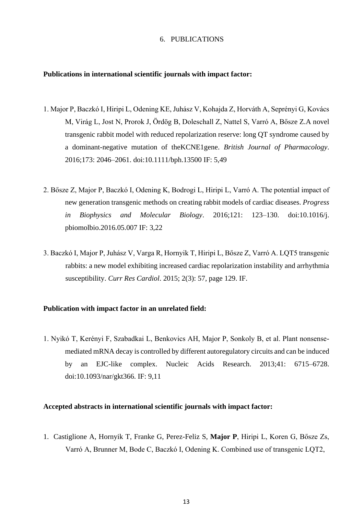### 6. PUBLICATIONS

#### **Publications in international scientific journals with impact factor:**

- 1. Major P, Baczkó I, Hiripi L, Odening KE, Juhász V, Kohajda Z, Horváth A, Seprényi G, Kovács M, Virág L, Jost N, Prorok J, Ördög B, Doleschall Z, Nattel S, Varró A, Bősze Z.A novel transgenic rabbit model with reduced repolarization reserve: long QT syndrome caused by a dominant-negative mutation of theKCNE1gene. *British Journal of Pharmacology*. 2016;173: 2046–2061. doi:10.1111/bph.13500 IF: 5,49
- 2. Bősze Z, Major P, Baczkó I, Odening K, Bodrogi L, Hiripi L, Varró A. The potential impact of new generation transgenic methods on creating rabbit models of cardiac diseases. *Progress in Biophysics and Molecular Biology*. 2016;121: 123–130. doi:10.1016/j. pbiomolbio.2016.05.007 IF: 3,22
- 3. Baczkó I, Major P, Juhász V, Varga R, Hornyik T, Hiripi L, Bősze Z, Varró A. LQT5 transgenic rabbits: a new model exhibiting increased cardiac repolarization instability and arrhythmia susceptibility. *Curr Res Cardiol*. 2015; 2(3): 57, page 129. IF.

### **Publication with impact factor in an unrelated field:**

1. Nyikó T, Kerényi F, Szabadkai L, Benkovics AH, Major P, Sonkoly B, et al. Plant nonsensemediated mRNA decay is controlled by different autoregulatory circuits and can be induced by an EJC-like complex. Nucleic Acids Research. 2013;41: 6715–6728. doi:10.1093/nar/gkt366. IF: 9,11

# **Accepted abstracts in international scientific journals with impact factor:**

1. Castiglione A, Hornyik T, Franke G, Perez-Feliz S, **Major P**, Hiripi L, Koren G, Bősze Zs, Varró A, Brunner M, Bode C, Baczkó I, Odening K. Combined use of transgenic LQT2,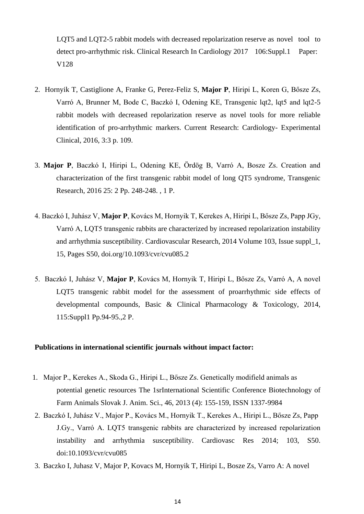LQT5 and LQT2-5 rabbit models with decreased repolarization reserve as novel tool to detect pro-arrhythmic risk. Clinical Research In Cardiology 2017 106:Suppl.1 Paper: V128

- 2. Hornyik T, Castiglione A, Franke G, Perez-Feliz S, **Major P**, Hiripi L, Koren G, Bősze Zs, Varró A, Brunner M, Bode C, Baczkó I, Odening KE, Transgenic lqt2, lqt5 and lqt2-5 rabbit models with decreased repolarization reserve as novel tools for more reliable identification of pro-arrhythmic markers. Current Research: Cardiology- Experimental Clinical, 2016, 3:3 p. 109.
- 3. **Major P**, Baczkó I, Hiripi L, Odening KE, Ördög B, Varró A, Bosze Zs. Creation and characterization of the first transgenic rabbit model of long QT5 syndrome, Transgenic Research, 2016 25: 2 Pp. 248-248. , 1 P.
- 4. Baczkó I, Juhász V, **Major P**, Kovács M, Hornyik T, Kerekes A, Hiripi L, Bősze Zs, Papp JGy, Varró A, LQT5 transgenic rabbits are characterized by increased repolarization instability and arrhythmia susceptibility. Cardiovascular Research, 2014 Volume 103, Issue suppl\_1, 15, Pages S50, doi.org/10.1093/cvr/cvu085.2
- 5. Baczkó I, Juhász V, **Major P**, Kovács M, Hornyik T, Hiripi L, Bősze Zs, Varró A, A novel LQT5 transgenic rabbit model for the assessment of proarrhythmic side effects of developmental compounds, Basic & Clinical Pharmacology & Toxicology, 2014, 115:Suppl1 Pp.94-95.,2 P.

# **Publications in international scientific journals without impact factor:**

- 1. Major P., Kerekes A., Skoda G., Hiripi L., Bősze Zs. Genetically modifield animals as potential genetic resources The 1srInternational Scientific Conference Biotechnology of Farm Animals Slovak J. Anim. Sci., 46, 2013 (4): 155-159, ISSN 1337-9984
- 2. Baczkó I, Juhász V., Major P., Kovács M., Hornyik T., Kerekes A., Hiripi L., Bősze Zs, Papp J.Gy., Varró A. LQT5 transgenic rabbits are characterized by increased repolarization instability and arrhythmia susceptibility. Cardiovasc Res 2014; 103, S50. doi:10.1093/cvr/cvu085
- 3. Baczko I, Juhasz V, Major P, Kovacs M, Hornyik T, Hiripi L, Bosze Zs, Varro A: A novel